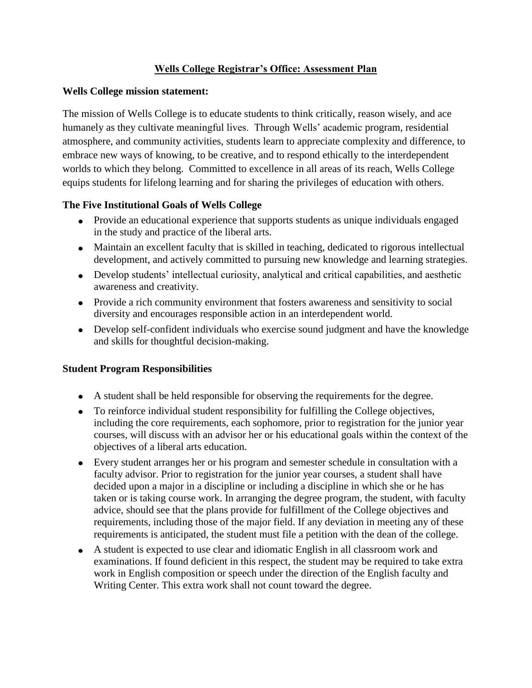#### **Wells College Registrar's Office: Assessment Plan**

#### **Wells College mission statement:**

The mission of Wells College is to educate students to think critically, reason wisely, and ace humanely as they cultivate meaningful lives. Through Wells' academic program, residential atmosphere, and community activities, students learn to appreciate complexity and difference, to embrace new ways of knowing, to be creative, and to respond ethically to the interdependent worlds to which they belong. Committed to excellence in all areas of its reach, Wells College equips students for lifelong learning and for sharing the privileges of education with others.

### **The Five Institutional Goals of Wells College**

- Provide an educational experience that supports students as unique individuals engaged in the study and practice of the liberal arts.
- Maintain an excellent faculty that is skilled in teaching, dedicated to rigorous intellectual development, and actively committed to pursuing new knowledge and learning strategies.
- Develop students' intellectual curiosity, analytical and critical capabilities, and aesthetic awareness and creativity.
- Provide a rich community environment that fosters awareness and sensitivity to social diversity and encourages responsible action in an interdependent world.
- Develop self-confident individuals who exercise sound judgment and have the knowledge and skills for thoughtful decision-making.

#### **Student Program Responsibilities**

- A student shall be held responsible for observing the requirements for the degree.
- To reinforce individual student responsibility for fulfilling the College objectives, including the core requirements, each sophomore, prior to registration for the junior year courses, will discuss with an advisor her or his educational goals within the context of the objectives of a liberal arts education.
- Every student arranges her or his program and semester schedule in consultation with a faculty advisor. Prior to registration for the junior year courses, a student shall have decided upon a major in a discipline or including a discipline in which she or he has taken or is taking course work. In arranging the degree program, the student, with faculty advice, should see that the plans provide for fulfillment of the College objectives and requirements, including those of the major field. If any deviation in meeting any of these requirements is anticipated, the student must file a petition with the dean of the college.
- A student is expected to use clear and idiomatic English in all classroom work and examinations. If found deficient in this respect, the student may be required to take extra work in English composition or speech under the direction of the English faculty and Writing Center. This extra work shall not count toward the degree.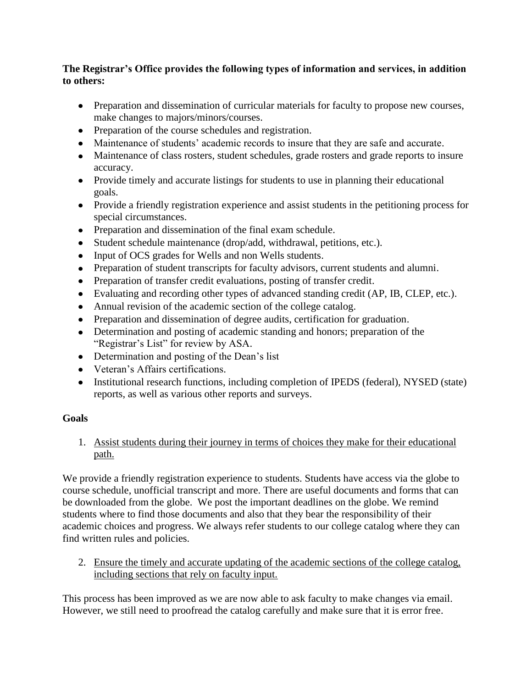### **The Registrar's Office provides the following types of information and services, in addition to others:**

- Preparation and dissemination of curricular materials for faculty to propose new courses, make changes to majors/minors/courses.
- Preparation of the course schedules and registration.
- Maintenance of students' academic records to insure that they are safe and accurate.
- Maintenance of class rosters, student schedules, grade rosters and grade reports to insure accuracy.
- Provide timely and accurate listings for students to use in planning their educational goals.
- Provide a friendly registration experience and assist students in the petitioning process for special circumstances.
- Preparation and dissemination of the final exam schedule.
- Student schedule maintenance (drop/add, withdrawal, petitions, etc.).
- Input of OCS grades for Wells and non Wells students.
- Preparation of student transcripts for faculty advisors, current students and alumni.
- Preparation of transfer credit evaluations, posting of transfer credit.
- Evaluating and recording other types of advanced standing credit (AP, IB, CLEP, etc.).
- Annual revision of the academic section of the college catalog.
- Preparation and dissemination of degree audits, certification for graduation.
- Determination and posting of academic standing and honors; preparation of the "Registrar's List" for review by ASA.
- Determination and posting of the Dean's list
- Veteran's Affairs certifications.
- Institutional research functions, including completion of IPEDS (federal), NYSED (state) reports, as well as various other reports and surveys.

## **Goals**

## 1. Assist students during their journey in terms of choices they make for their educational path.

We provide a friendly registration experience to students. Students have access via the globe to course schedule, unofficial transcript and more. There are useful documents and forms that can be downloaded from the globe. We post the important deadlines on the globe. We remind students where to find those documents and also that they bear the responsibility of their academic choices and progress. We always refer students to our college catalog where they can find written rules and policies.

2. Ensure the timely and accurate updating of the academic sections of the college catalog, including sections that rely on faculty input.

This process has been improved as we are now able to ask faculty to make changes via email. However, we still need to proofread the catalog carefully and make sure that it is error free.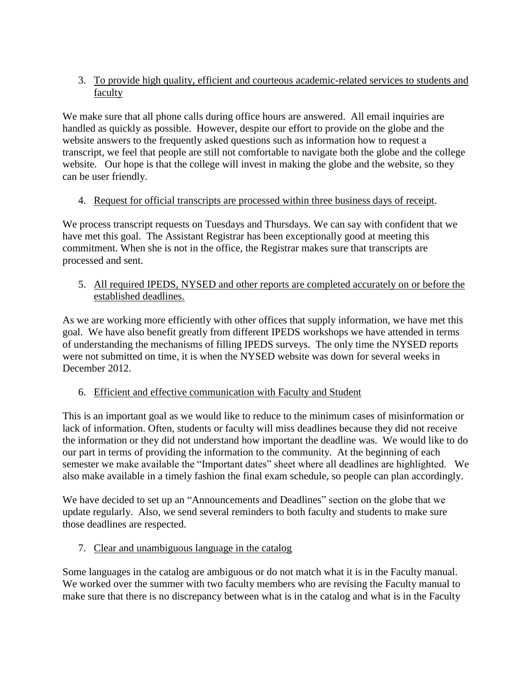### 3. To provide high quality, efficient and courteous academic-related services to students and faculty

We make sure that all phone calls during office hours are answered. All email inquiries are handled as quickly as possible. However, despite our effort to provide on the globe and the website answers to the frequently asked questions such as information how to request a transcript, we feel that people are still not comfortable to navigate both the globe and the college website. Our hope is that the college will invest in making the globe and the website, so they can be user friendly.

## 4. Request for official transcripts are processed within three business days of receipt.

We process transcript requests on Tuesdays and Thursdays. We can say with confident that we have met this goal. The Assistant Registrar has been exceptionally good at meeting this commitment. When she is not in the office, the Registrar makes sure that transcripts are processed and sent.

### 5. All required IPEDS, NYSED and other reports are completed accurately on or before the established deadlines.

As we are working more efficiently with other offices that supply information, we have met this goal. We have also benefit greatly from different IPEDS workshops we have attended in terms of understanding the mechanisms of filling IPEDS surveys. The only time the NYSED reports were not submitted on time, it is when the NYSED website was down for several weeks in December 2012.

## 6. Efficient and effective communication with Faculty and Student

This is an important goal as we would like to reduce to the minimum cases of misinformation or lack of information. Often, students or faculty will miss deadlines because they did not receive the information or they did not understand how important the deadline was. We would like to do our part in terms of providing the information to the community. At the beginning of each semester we make available the "Important dates" sheet where all deadlines are highlighted. We also make available in a timely fashion the final exam schedule, so people can plan accordingly.

We have decided to set up an "Announcements and Deadlines" section on the globe that we update regularly. Also, we send several reminders to both faculty and students to make sure those deadlines are respected.

## 7. Clear and unambiguous language in the catalog

Some languages in the catalog are ambiguous or do not match what it is in the Faculty manual. We worked over the summer with two faculty members who are revising the Faculty manual to make sure that there is no discrepancy between what is in the catalog and what is in the Faculty